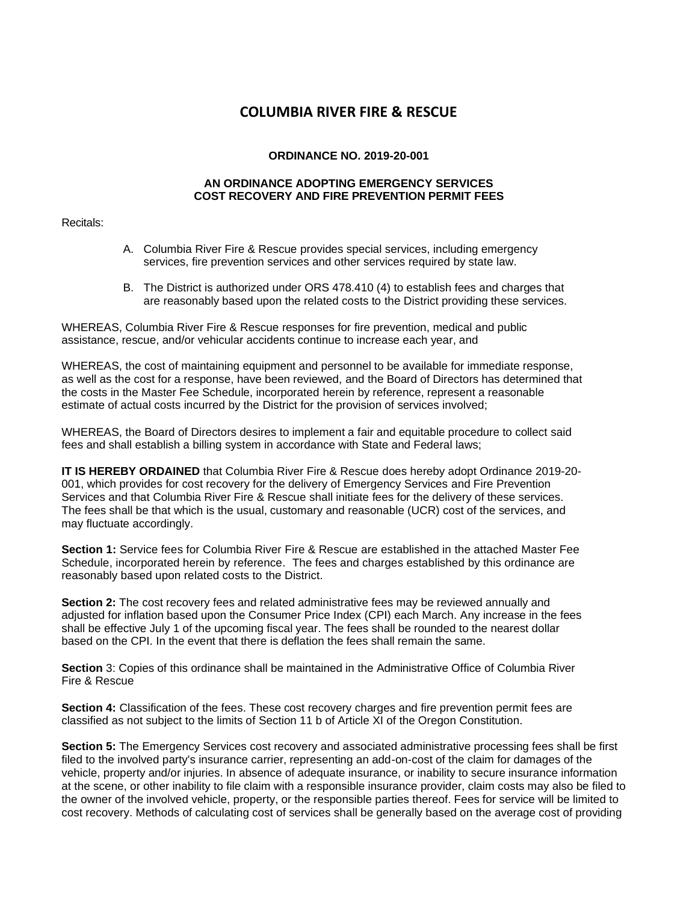# **COLUMBIA RIVER FIRE & RESCUE**

### **ORDINANCE NO. 2019-20-001**

#### **AN ORDINANCE ADOPTING EMERGENCY SERVICES COST RECOVERY AND FIRE PREVENTION PERMIT FEES**

Recitals:

- A. Columbia River Fire & Rescue provides special services, including emergency services, fire prevention services and other services required by state law.
- B. The District is authorized under ORS 478.410 (4) to establish fees and charges that are reasonably based upon the related costs to the District providing these services.

WHEREAS, Columbia River Fire & Rescue responses for fire prevention, medical and public assistance, rescue, and/or vehicular accidents continue to increase each year, and

WHEREAS, the cost of maintaining equipment and personnel to be available for immediate response, as well as the cost for a response, have been reviewed, and the Board of Directors has determined that the costs in the Master Fee Schedule, incorporated herein by reference, represent a reasonable estimate of actual costs incurred by the District for the provision of services involved;

WHEREAS, the Board of Directors desires to implement a fair and equitable procedure to collect said fees and shall establish a billing system in accordance with State and Federal laws;

**IT IS HEREBY ORDAINED** that Columbia River Fire & Rescue does hereby adopt Ordinance 2019-20- 001, which provides for cost recovery for the delivery of Emergency Services and Fire Prevention Services and that Columbia River Fire & Rescue shall initiate fees for the delivery of these services. The fees shall be that which is the usual, customary and reasonable (UCR) cost of the services, and may fluctuate accordingly.

**Section 1:** Service fees for Columbia River Fire & Rescue are established in the attached Master Fee Schedule, incorporated herein by reference. The fees and charges established by this ordinance are reasonably based upon related costs to the District.

**Section 2:** The cost recovery fees and related administrative fees may be reviewed annually and adjusted for inflation based upon the Consumer Price Index (CPI) each March. Any increase in the fees shall be effective July 1 of the upcoming fiscal year. The fees shall be rounded to the nearest dollar based on the CPI. In the event that there is deflation the fees shall remain the same.

**Section** 3: Copies of this ordinance shall be maintained in the Administrative Office of Columbia River Fire & Rescue

**Section 4:** Classification of the fees. These cost recovery charges and fire prevention permit fees are classified as not subject to the limits of Section 11 b of Article XI of the Oregon Constitution.

**Section 5:** The Emergency Services cost recovery and associated administrative processing fees shall be first filed to the involved party's insurance carrier, representing an add-on-cost of the claim for damages of the vehicle, property and/or injuries. In absence of adequate insurance, or inability to secure insurance information at the scene, or other inability to file claim with a responsible insurance provider, claim costs may also be filed to the owner of the involved vehicle, property, or the responsible parties thereof. Fees for service will be limited to cost recovery. Methods of calculating cost of services shall be generally based on the average cost of providing